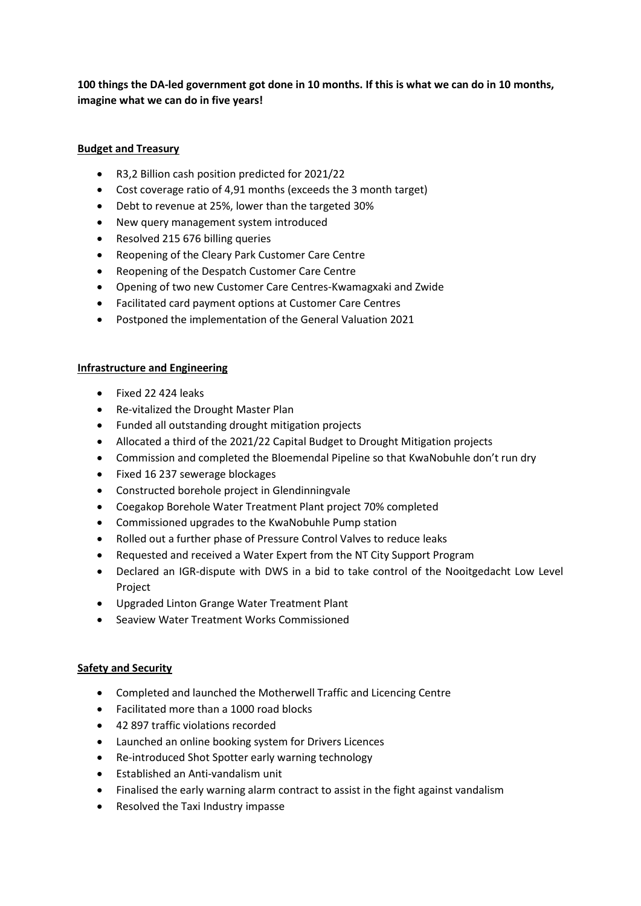**100 things the DA-led government got done in 10 months. If this is what we can do in 10 months, imagine what we can do in five years!**

### **Budget and Treasury**

- R3,2 Billion cash position predicted for 2021/22
- Cost coverage ratio of 4,91 months (exceeds the 3 month target)
- Debt to revenue at 25%, lower than the targeted 30%
- New query management system introduced
- Resolved 215 676 billing queries
- Reopening of the Cleary Park Customer Care Centre
- Reopening of the Despatch Customer Care Centre
- Opening of two new Customer Care Centres-Kwamagxaki and Zwide
- Facilitated card payment options at Customer Care Centres
- Postponed the implementation of the General Valuation 2021

#### **Infrastructure and Engineering**

- Fixed 22 424 leaks
- Re-vitalized the Drought Master Plan
- Funded all outstanding drought mitigation projects
- Allocated a third of the 2021/22 Capital Budget to Drought Mitigation projects
- Commission and completed the Bloemendal Pipeline so that KwaNobuhle don't run dry
- Fixed 16 237 sewerage blockages
- Constructed borehole project in Glendinningvale
- Coegakop Borehole Water Treatment Plant project 70% completed
- Commissioned upgrades to the KwaNobuhle Pump station
- Rolled out a further phase of Pressure Control Valves to reduce leaks
- Requested and received a Water Expert from the NT City Support Program
- Declared an IGR-dispute with DWS in a bid to take control of the Nooitgedacht Low Level Project
- Upgraded Linton Grange Water Treatment Plant
- Seaview Water Treatment Works Commissioned

#### **Safety and Security**

- Completed and launched the Motherwell Traffic and Licencing Centre
- Facilitated more than a 1000 road blocks
- 42 897 traffic violations recorded
- Launched an online booking system for Drivers Licences
- Re-introduced Shot Spotter early warning technology
- Established an Anti-vandalism unit
- Finalised the early warning alarm contract to assist in the fight against vandalism
- Resolved the Taxi Industry impasse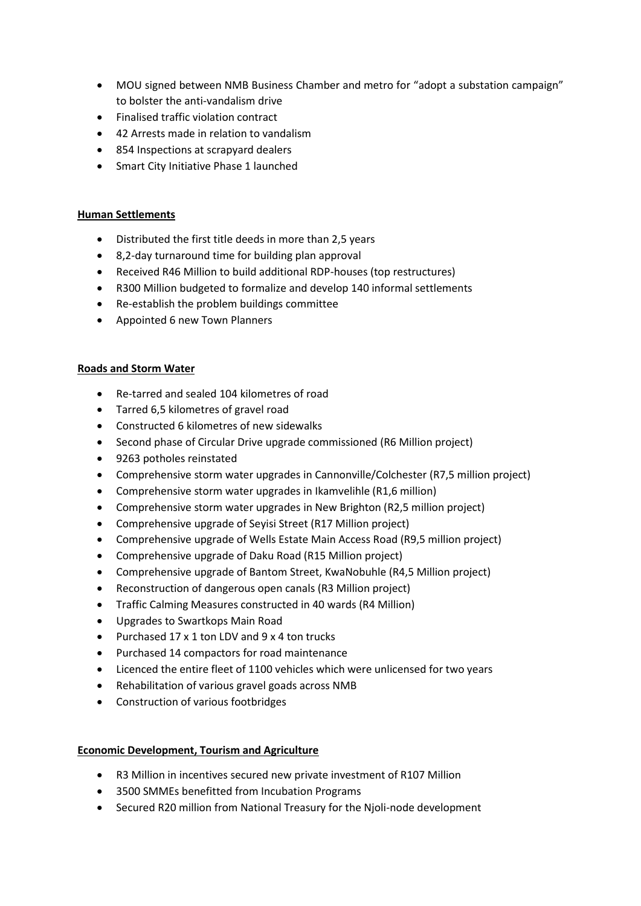- MOU signed between NMB Business Chamber and metro for "adopt a substation campaign" to bolster the anti-vandalism drive
- Finalised traffic violation contract
- 42 Arrests made in relation to vandalism
- 854 Inspections at scrapyard dealers
- Smart City Initiative Phase 1 launched

#### **Human Settlements**

- Distributed the first title deeds in more than 2,5 years
- 8,2-day turnaround time for building plan approval
- Received R46 Million to build additional RDP-houses (top restructures)
- R300 Million budgeted to formalize and develop 140 informal settlements
- Re-establish the problem buildings committee
- Appointed 6 new Town Planners

### **Roads and Storm Water**

- Re-tarred and sealed 104 kilometres of road
- Tarred 6,5 kilometres of gravel road
- Constructed 6 kilometres of new sidewalks
- Second phase of Circular Drive upgrade commissioned (R6 Million project)
- 9263 potholes reinstated
- Comprehensive storm water upgrades in Cannonville/Colchester (R7,5 million project)
- Comprehensive storm water upgrades in Ikamvelihle (R1,6 million)
- Comprehensive storm water upgrades in New Brighton (R2,5 million project)
- Comprehensive upgrade of Seyisi Street (R17 Million project)
- Comprehensive upgrade of Wells Estate Main Access Road (R9,5 million project)
- Comprehensive upgrade of Daku Road (R15 Million project)
- Comprehensive upgrade of Bantom Street, KwaNobuhle (R4,5 Million project)
- Reconstruction of dangerous open canals (R3 Million project)
- Traffic Calming Measures constructed in 40 wards (R4 Million)
- Upgrades to Swartkops Main Road
- Purchased 17 x 1 ton LDV and 9 x 4 ton trucks
- Purchased 14 compactors for road maintenance
- Licenced the entire fleet of 1100 vehicles which were unlicensed for two years
- Rehabilitation of various gravel goads across NMB
- Construction of various footbridges

# **Economic Development, Tourism and Agriculture**

- R3 Million in incentives secured new private investment of R107 Million
- 3500 SMMEs benefitted from Incubation Programs
- Secured R20 million from National Treasury for the Njoli-node development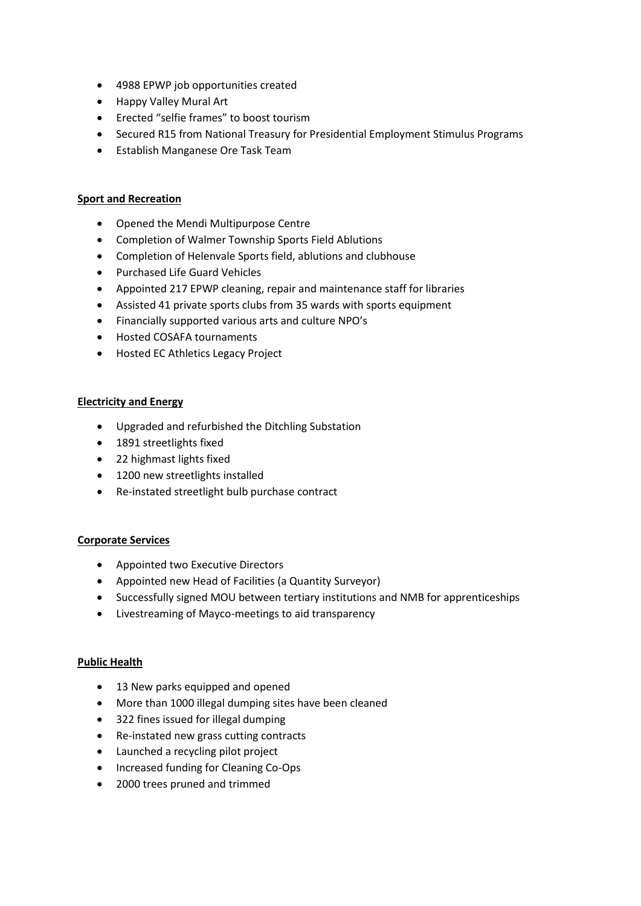- 4988 EPWP job opportunities created
- Happy Valley Mural Art
- Erected "selfie frames" to boost tourism
- Secured R15 from National Treasury for Presidential Employment Stimulus Programs
- Establish Manganese Ore Task Team

## **Sport and Recreation**

- Opened the Mendi Multipurpose Centre
- Completion of Walmer Township Sports Field Ablutions
- Completion of Helenvale Sports field, ablutions and clubhouse
- Purchased Life Guard Vehicles
- Appointed 217 EPWP cleaning, repair and maintenance staff for libraries
- Assisted 41 private sports clubs from 35 wards with sports equipment
- Financially supported various arts and culture NPO's
- Hosted COSAFA tournaments
- Hosted EC Athletics Legacy Project

### **Electricity and Energy**

- Upgraded and refurbished the Ditchling Substation
- 1891 streetlights fixed
- 22 highmast lights fixed
- 1200 new streetlights installed
- Re-instated streetlight bulb purchase contract

# **Corporate Services**

- Appointed two Executive Directors
- Appointed new Head of Facilities (a Quantity Surveyor)
- Successfully signed MOU between tertiary institutions and NMB for apprenticeships
- Livestreaming of Mayco-meetings to aid transparency

#### **Public Health**

- 13 New parks equipped and opened
- More than 1000 illegal dumping sites have been cleaned
- 322 fines issued for illegal dumping
- Re-instated new grass cutting contracts
- Launched a recycling pilot project
- Increased funding for Cleaning Co-Ops
- 2000 trees pruned and trimmed